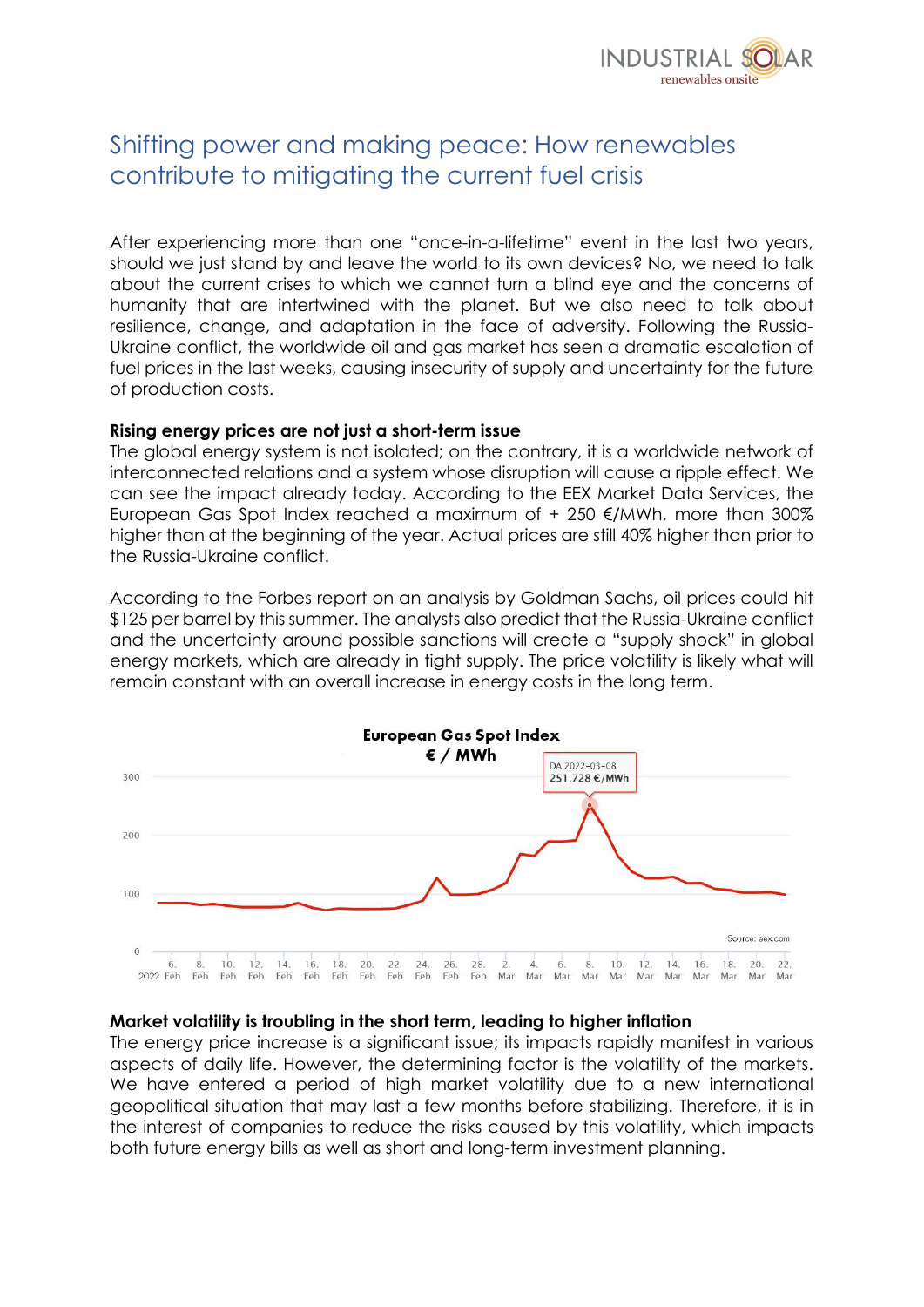

# Shifting power and making peace: How renewables contribute to mitigating the current fuel crisis

After experiencing more than one "once-in-a-lifetime" event in the last two years, should we just stand by and leave the world to its own devices? No, we need to talk about the current crises to which we cannot turn a blind eye and the concerns of humanity that are intertwined with the planet. But we also need to talk about resilience, change, and adaptation in the face of adversity. Following the Russia-Ukraine conflict, the worldwide oil and gas market has seen a dramatic escalation of fuel prices in the last weeks, causing insecurity of supply and uncertainty for the future of production costs.

#### Rising energy prices are not just a short-term issue

The global energy system is not isolated; on the contrary, it is a worldwide network of interconnected relations and a system whose disruption will cause a ripple effect. We can see the impact already today. According to the EEX Market Data Services, the European Gas Spot Index reached a maximum of  $+$  250  $\notin$  /MWh, more than 300% higher than at the beginning of the year. Actual prices are still 40% higher than prior to the Russia-Ukraine conflict.

According to the Forbes report on an analysis by Goldman Sachs, oil prices could hit \$125 per barrel by this summer. The analysts also predict that the Russia-Ukraine conflict and the uncertainty around possible sanctions will create a "supply shock" in global energy markets, which are already in tight supply. The price volatility is likely what will remain constant with an overall increase in energy costs in the long term.



## Market volatility is troubling in the short term, leading to higher inflation

The energy price increase is a significant issue; its impacts rapidly manifest in various aspects of daily life. However, the determining factor is the volatility of the markets. We have entered a period of high market volatility due to a new international geopolitical situation that may last a few months before stabilizing. Therefore, it is in the interest of companies to reduce the risks caused by this volatility, which impacts both future energy bills as well as short and long-term investment planning.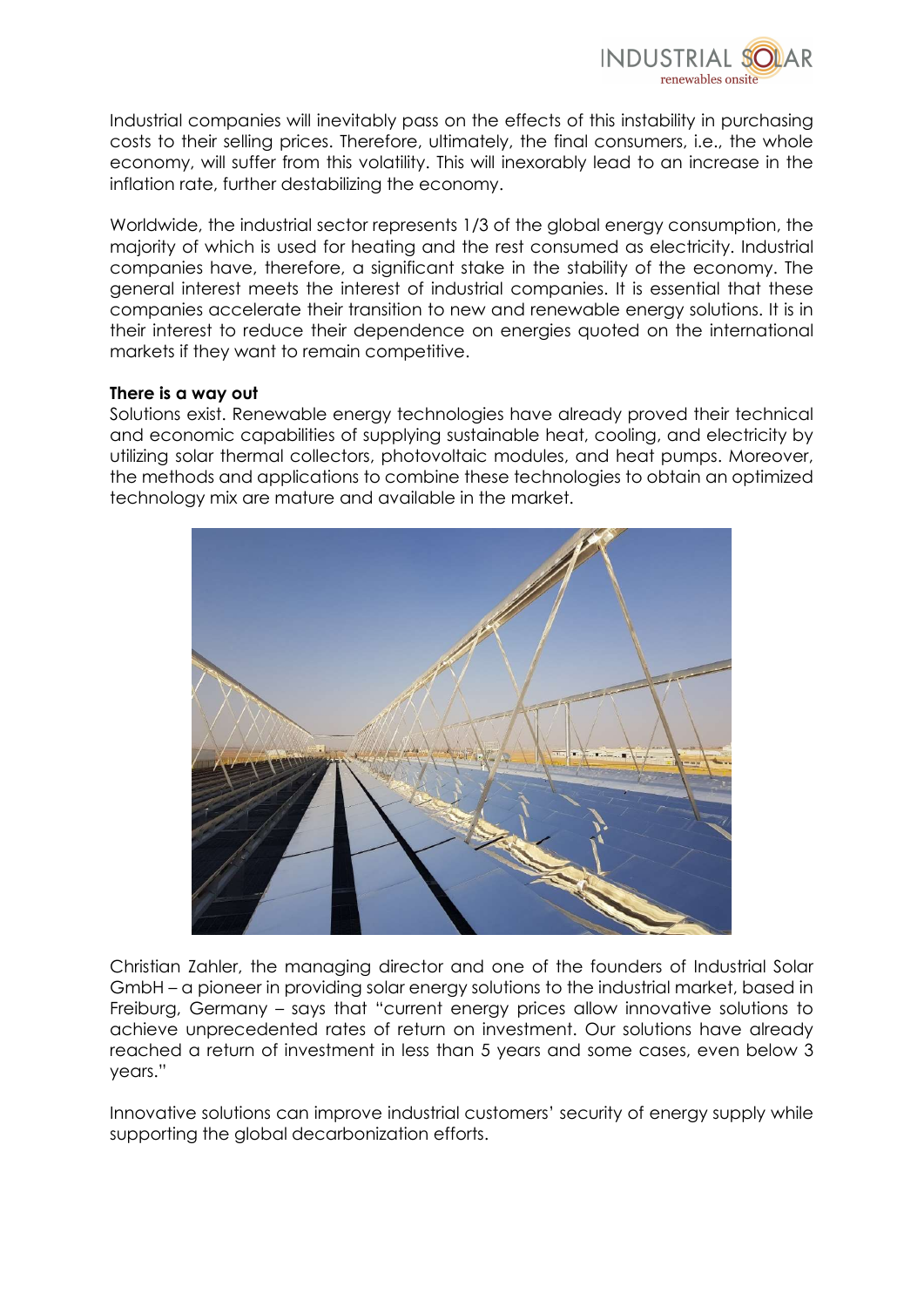

Industrial companies will inevitably pass on the effects of this instability in purchasing costs to their selling prices. Therefore, ultimately, the final consumers, i.e., the whole economy, will suffer from this volatility. This will inexorably lead to an increase in the inflation rate, further destabilizing the economy.

Worldwide, the industrial sector represents 1/3 of the global energy consumption, the majority of which is used for heating and the rest consumed as electricity. Industrial companies have, therefore, a significant stake in the stability of the economy. The general interest meets the interest of industrial companies. It is essential that these companies accelerate their transition to new and renewable energy solutions. It is in their interest to reduce their dependence on energies quoted on the international markets if they want to remain competitive.

## There is a way out

Solutions exist. Renewable energy technologies have already proved their technical and economic capabilities of supplying sustainable heat, cooling, and electricity by utilizing solar thermal collectors, photovoltaic modules, and heat pumps. Moreover, the methods and applications to combine these technologies to obtain an optimized technology mix are mature and available in the market.



Christian Zahler, the managing director and one of the founders of Industrial Solar GmbH – a pioneer in providing solar energy solutions to the industrial market, based in Freiburg, Germany – says that "current energy prices allow innovative solutions to achieve unprecedented rates of return on investment. Our solutions have already reached a return of investment in less than 5 years and some cases, even below 3 years."

Innovative solutions can improve industrial customers' security of energy supply while supporting the global decarbonization efforts.